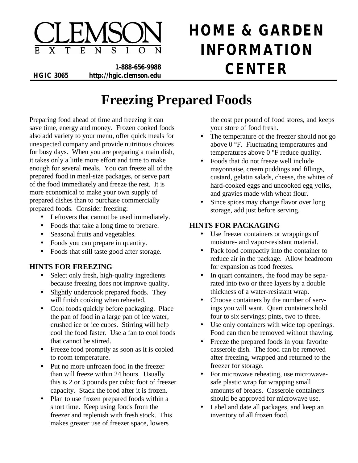

**HOME & GARDEN INFORMATION**

**1-888-656-9988 HGIC 3065 http://hgic.clemson.edu CENTER**

# **Freezing Prepared Foods**

Preparing food ahead of time and freezing it can save time, energy and money. Frozen cooked foods also add variety to your menu, offer quick meals for unexpected company and provide nutritious choices for busy days. When you are preparing a main dish, it takes only a little more effort and time to make enough for several meals. You can freeze all of the prepared food in meal-size packages, or serve part of the food immediately and freeze the rest. It is more economical to make your own supply of prepared dishes than to purchase commercially prepared foods. Consider freezing:

- Leftovers that cannot be used immediately.
- Foods that take a long time to prepare.
- Seasonal fruits and vegetables.
- Foods you can prepare in quantity.
- Foods that still taste good after storage.

## **HINTS FOR FREEZING**

- Select only fresh, high-quality ingredients because freezing does not improve quality.
- Slightly undercook prepared foods. They will finish cooking when reheated.
- Cool foods quickly before packaging. Place the pan of food in a large pan of ice water, crushed ice or ice cubes. Stirring will help cool the food faster. Use a fan to cool foods that cannot be stirred.
- Freeze food promptly as soon as it is cooled to room temperature.
- Put no more unfrozen food in the freezer than will freeze within 24 hours. Usually this is 2 or 3 pounds per cubic foot of freezer capacity. Stack the food after it is frozen.
- Plan to use frozen prepared foods within a short time. Keep using foods from the freezer and replenish with fresh stock. This makes greater use of freezer space, lowers

the cost per pound of food stores, and keeps your store of food fresh.

- The temperature of the freezer should not go above 0 °F. Fluctuating temperatures and temperatures above 0 °F reduce quality.
- Foods that do not freeze well include mayonnaise, cream puddings and fillings, custard, gelatin salads, cheese, the whites of hard-cooked eggs and uncooked egg yolks, and gravies made with wheat flour.
- Since spices may change flavor over long storage, add just before serving.

### **HINTS FOR PACKAGING**

- Use freezer containers or wrappings of moisture- and vapor-resistant material.
- Pack food compactly into the container to reduce air in the package. Allow headroom for expansion as food freezes.
- In quart containers, the food may be separated into two or three layers by a double thickness of a water-resistant wrap.
- Choose containers by the number of servings you will want. Quart containers hold four to six servings; pints, two to three.
- Use only containers with wide top openings. Food can then be removed without thawing.
- Freeze the prepared foods in your favorite casserole dish. The food can be removed after freezing, wrapped and returned to the freezer for storage.
- For microwave reheating, use microwavesafe plastic wrap for wrapping small amounts of breads. Casserole containers should be approved for microwave use.
- Label and date all packages, and keep an inventory of all frozen food.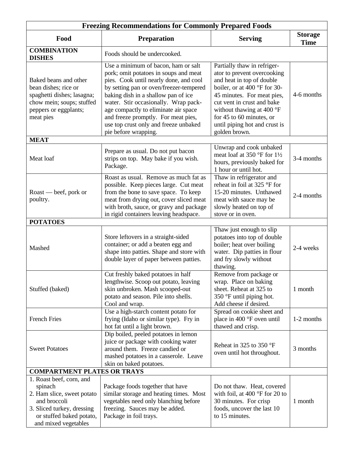| <b>Freezing Recommendations for Commonly Prepared Foods</b>                                                                                                         |                                                                                                                                                                                                                                                                                                                                                                                                  |                                                                                                                                                                                                                                                                                                |                               |  |  |  |
|---------------------------------------------------------------------------------------------------------------------------------------------------------------------|--------------------------------------------------------------------------------------------------------------------------------------------------------------------------------------------------------------------------------------------------------------------------------------------------------------------------------------------------------------------------------------------------|------------------------------------------------------------------------------------------------------------------------------------------------------------------------------------------------------------------------------------------------------------------------------------------------|-------------------------------|--|--|--|
| Food                                                                                                                                                                | <b>Preparation</b>                                                                                                                                                                                                                                                                                                                                                                               | <b>Serving</b>                                                                                                                                                                                                                                                                                 | <b>Storage</b><br><b>Time</b> |  |  |  |
| <b>COMBINATION</b><br><b>DISHES</b>                                                                                                                                 | Foods should be undercooked.                                                                                                                                                                                                                                                                                                                                                                     |                                                                                                                                                                                                                                                                                                |                               |  |  |  |
| Baked beans and other<br>bean dishes; rice or<br>spaghetti dishes; lasagna;<br>chow mein; soups; stuffed<br>peppers or eggplants;<br>meat pies                      | Use a minimum of bacon, ham or salt<br>pork; omit potatoes in soups and meat<br>pies. Cook until nearly done, and cool<br>by setting pan or oven/freezer-tempered<br>baking dish in a shallow pan of ice<br>water. Stir occasionally. Wrap pack-<br>age compactly to eliminate air space<br>and freeze promptly. For meat pies,<br>use top crust only and freeze unbaked<br>pie before wrapping. | Partially thaw in refriger-<br>ator to prevent overcooking<br>and heat in top of double<br>boiler, or at 400 °F for 30-<br>45 minutes. For meat pies,<br>cut vent in crust and bake<br>without thawing at 400 °F<br>for 45 to 60 minutes, or<br>until piping hot and crust is<br>golden brown. | 4-6 months                    |  |  |  |
| <b>MEAT</b>                                                                                                                                                         |                                                                                                                                                                                                                                                                                                                                                                                                  |                                                                                                                                                                                                                                                                                                |                               |  |  |  |
| Meat loaf                                                                                                                                                           | Prepare as usual. Do not put bacon<br>strips on top. May bake if you wish.<br>Package.                                                                                                                                                                                                                                                                                                           | Unwrap and cook unbaked<br>meat loaf at 350 $\degree$ F for 1½<br>hours, previously baked for<br>1 hour or until hot.                                                                                                                                                                          | 3-4 months                    |  |  |  |
| Roast — beef, pork or<br>poultry.                                                                                                                                   | Roast as usual. Remove as much fat as<br>possible. Keep pieces large. Cut meat<br>from the bone to save space. To keep<br>meat from drying out, cover sliced meat<br>with broth, sauce, or gravy and package<br>in rigid containers leaving headspace.                                                                                                                                           | Thaw in refrigerator and<br>reheat in foil at 325 °F for<br>15-20 minutes. Unthawed<br>meat with sauce may be<br>slowly heated on top of<br>stove or in oven.                                                                                                                                  | 2-4 months                    |  |  |  |
| <b>POTATOES</b>                                                                                                                                                     |                                                                                                                                                                                                                                                                                                                                                                                                  |                                                                                                                                                                                                                                                                                                |                               |  |  |  |
| Mashed                                                                                                                                                              | Store leftovers in a straight-sided<br>container; or add a beaten egg and<br>shape into patties. Shape and store with<br>double layer of paper between patties.                                                                                                                                                                                                                                  | Thaw just enough to slip<br>potatoes into top of double<br>boiler; heat over boiling<br>water. Dip patties in flour<br>and fry slowly without<br>thawing.                                                                                                                                      | 2-4 weeks                     |  |  |  |
| Stuffed (baked)                                                                                                                                                     | Cut freshly baked potatoes in half<br>lengthwise. Scoop out potato, leaving<br>skin unbroken. Mash scooped-out<br>potato and season. Pile into shells.<br>Cool and wrap.                                                                                                                                                                                                                         | Remove from package or<br>wrap. Place on baking<br>sheet. Reheat at 325 to<br>350 $\degree$ F until piping hot.<br>Add cheese if desired.                                                                                                                                                      | 1 month                       |  |  |  |
| <b>French Fries</b>                                                                                                                                                 | Use a high-starch content potato for<br>frying (Idaho or similar type). Fry in<br>hot fat until a light brown.                                                                                                                                                                                                                                                                                   | Spread on cookie sheet and<br>place in 400 °F oven until<br>thawed and crisp.                                                                                                                                                                                                                  | 1-2 months                    |  |  |  |
| <b>Sweet Potatoes</b>                                                                                                                                               | Dip boiled, peeled potatoes in lemon<br>juice or package with cooking water<br>around them. Freeze candied or<br>mashed potatoes in a casserole. Leave<br>skin on baked potatoes.                                                                                                                                                                                                                | Reheat in 325 to 350 $\degree$ F<br>oven until hot throughout.                                                                                                                                                                                                                                 | 3 months                      |  |  |  |
| <b>COMPARTMENT PLATES OR TRAYS</b>                                                                                                                                  |                                                                                                                                                                                                                                                                                                                                                                                                  |                                                                                                                                                                                                                                                                                                |                               |  |  |  |
| 1. Roast beef, corn, and<br>spinach<br>2. Ham slice, sweet potato<br>and broccoli<br>3. Sliced turkey, dressing<br>or stuffed baked potato,<br>and mixed vegetables | Package foods together that have<br>similar storage and heating times. Most<br>vegetables need only blanching before<br>freezing. Sauces may be added.<br>Package in foil trays.                                                                                                                                                                                                                 | Do not thaw. Heat, covered<br>with foil, at 400 $\degree$ F for 20 to<br>30 minutes. For crisp<br>foods, uncover the last 10<br>to 15 minutes.                                                                                                                                                 | 1 month                       |  |  |  |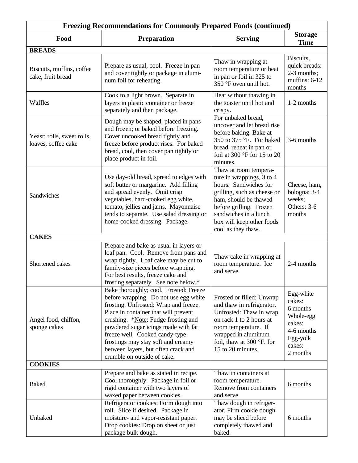| <b>Freezing Recommendations for Commonly Prepared Foods (continued)</b> |                                                                                                                                                                                                                                                                                                                                                                                              |                                                                                                                                                                                                                                            |                                                                                                        |  |  |
|-------------------------------------------------------------------------|----------------------------------------------------------------------------------------------------------------------------------------------------------------------------------------------------------------------------------------------------------------------------------------------------------------------------------------------------------------------------------------------|--------------------------------------------------------------------------------------------------------------------------------------------------------------------------------------------------------------------------------------------|--------------------------------------------------------------------------------------------------------|--|--|
| Food                                                                    | <b>Preparation</b>                                                                                                                                                                                                                                                                                                                                                                           | <b>Serving</b>                                                                                                                                                                                                                             | <b>Storage</b><br><b>Time</b>                                                                          |  |  |
| <b>BREADS</b>                                                           |                                                                                                                                                                                                                                                                                                                                                                                              |                                                                                                                                                                                                                                            |                                                                                                        |  |  |
| Biscuits, muffins, coffee<br>cake, fruit bread                          | Prepare as usual, cool. Freeze in pan<br>and cover tightly or package in alumi-<br>num foil for reheating.                                                                                                                                                                                                                                                                                   | Thaw in wrapping at<br>room temperature or heat<br>in pan or foil in 325 to<br>350 °F oven until hot.                                                                                                                                      | Biscuits,<br>quick breads:<br>2-3 months;<br>muffins: $6-12$<br>months                                 |  |  |
| Waffles                                                                 | Cook to a light brown. Separate in<br>layers in plastic container or freeze<br>separately and then package.                                                                                                                                                                                                                                                                                  | Heat without thawing in<br>the toaster until hot and<br>crispy.                                                                                                                                                                            | 1-2 months                                                                                             |  |  |
| Yeast: rolls, sweet rolls,<br>loaves, coffee cake                       | Dough may be shaped, placed in pans<br>and frozen; or baked before freezing.<br>Cover uncooked bread tightly and<br>freeze before product rises. For baked<br>bread, cool, then cover pan tightly or<br>place product in foil.                                                                                                                                                               | For unbaked bread,<br>uncover and let bread rise<br>before baking. Bake at<br>350 to 375 °F. For baked<br>bread, reheat in pan or<br>foil at 300 $^{\circ}$ F for 15 to 20<br>minutes.                                                     | 3-6 months                                                                                             |  |  |
| Sandwiches                                                              | Use day-old bread, spread to edges with<br>soft butter or margarine. Add filling<br>and spread evenly. Omit crisp<br>vegetables, hard-cooked egg white,<br>tomato, jellies and jams. Mayonnaise<br>tends to separate. Use salad dressing or<br>home-cooked dressing. Package.                                                                                                                | Thaw at room tempera-<br>ture in wrappings, 3 to 4<br>hours. Sandwiches for<br>grilling, such as cheese or<br>ham, should be thawed<br>before grilling. Frozen<br>sandwiches in a lunch<br>box will keep other foods<br>cool as they thaw. | Cheese, ham,<br>bologna: 3-4<br>weeks;<br>Others: 3-6<br>months                                        |  |  |
| <b>CAKES</b>                                                            |                                                                                                                                                                                                                                                                                                                                                                                              |                                                                                                                                                                                                                                            |                                                                                                        |  |  |
| Shortened cakes                                                         | Prepare and bake as usual in layers or<br>loaf pan. Cool. Remove from pans and<br>wrap tightly. Loaf cake may be cut to<br>family-size pieces before wrapping.<br>For best results, freeze cake and<br>frosting separately. See note below.*                                                                                                                                                 | Thaw cake in wrapping at<br>room temperature. Ice<br>and serve.                                                                                                                                                                            | 2-4 months                                                                                             |  |  |
| Angel food, chiffon,<br>sponge cakes                                    | Bake thoroughly; cool. Frosted: Freeze<br>before wrapping. Do not use egg white<br>frosting. Unfrosted: Wrap and freeze.<br>Place in container that will prevent<br>crushing. *Note: Fudge frosting and<br>powdered sugar icings made with fat<br>freeze well. Cooked candy-type<br>frostings may stay soft and creamy<br>between layers, but often crack and<br>crumble on outside of cake. | Frosted or filled: Unwrap<br>and thaw in refrigerator.<br>Unfrosted: Thaw in wrap<br>on rack 1 to 2 hours at<br>room temperature. If<br>wrapped in aluminum<br>foil, thaw at 300 $\degree$ F. for<br>15 to 20 minutes.                     | Egg-white<br>cakes:<br>6 months<br>Whole-egg<br>cakes:<br>4-6 months<br>Egg-yolk<br>cakes:<br>2 months |  |  |
| <b>COOKIES</b>                                                          |                                                                                                                                                                                                                                                                                                                                                                                              |                                                                                                                                                                                                                                            |                                                                                                        |  |  |
| <b>Baked</b>                                                            | Prepare and bake as stated in recipe.<br>Cool thoroughly. Package in foil or<br>rigid container with two layers of<br>waxed paper between cookies.                                                                                                                                                                                                                                           | Thaw in containers at<br>room temperature.<br>Remove from containers<br>and serve.                                                                                                                                                         | 6 months                                                                                               |  |  |
| Unbaked                                                                 | Refrigerator cookies: Form dough into<br>roll. Slice if desired. Package in<br>moisture- and vapor-resistant paper.<br>Drop cookies: Drop on sheet or just<br>package bulk dough.                                                                                                                                                                                                            | Thaw dough in refriger-<br>ator. Firm cookie dough<br>may be sliced before<br>completely thawed and<br>baked.                                                                                                                              | 6 months                                                                                               |  |  |